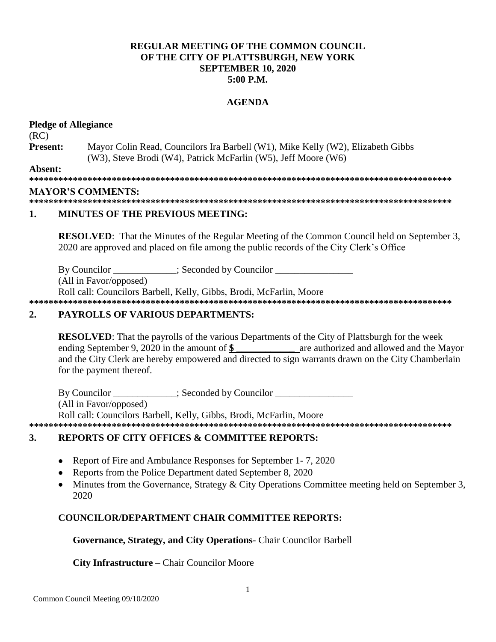### **REGULAR MEETING OF THE COMMON COUNCIL.** OF THE CITY OF PLATTSBURGH, NEW YORK **SEPTEMBER 10, 2020**  $5:00$  P.M.

### **AGENDA**

### **Pledge of Allegiance**  $(RC)$ **Present:** Mayor Colin Read, Councilors Ira Barbell (W1), Mike Kelly (W2), Elizabeth Gibbs (W3), Steve Brodi (W4), Patrick McFarlin (W5), Jeff Moore (W6) Absent: **MAYOR'S COMMENTS:** 1. **MINUTES OF THE PREVIOUS MEETING:**

**RESOLVED:** That the Minutes of the Regular Meeting of the Common Council held on September 3, 2020 are approved and placed on file among the public records of the City Clerk's Office

: Seconded by Councilor By Councilor

(All in Favor/opposed)

Roll call: Councilors Barbell, Kelly, Gibbs, Brodi, McFarlin, Moore

#### $2.$ **PAYROLLS OF VARIOUS DEPARTMENTS:**

**RESOLVED:** That the payrolls of the various Departments of the City of Plattsburgh for the week ending September 9, 2020 in the amount of \$ are authorized and allowed and the Mayor and the City Clerk are hereby empowered and directed to sign warrants drawn on the City Chamberlain for the payment thereof.

By Councilor \_\_\_\_\_\_\_\_\_\_\_; Seconded by Councilor \_\_\_\_\_\_\_\_\_\_\_\_\_ (All in Favor/opposed) Roll call: Councilors Barbell, Kelly, Gibbs, Brodi, McFarlin, Moore 

#### **REPORTS OF CITY OFFICES & COMMITTEE REPORTS:**  $3.$

- Report of Fire and Ambulance Responses for September 1-7, 2020
- Reports from the Police Department dated September 8, 2020
- Minutes from the Governance, Strategy & City Operations Committee meeting held on September 3, 2020

# **COUNCILOR/DEPARTMENT CHAIR COMMITTEE REPORTS:**

# Governance, Strategy, and City Operations- Chair Councilor Barbell

# **City Infrastructure** – Chair Councilor Moore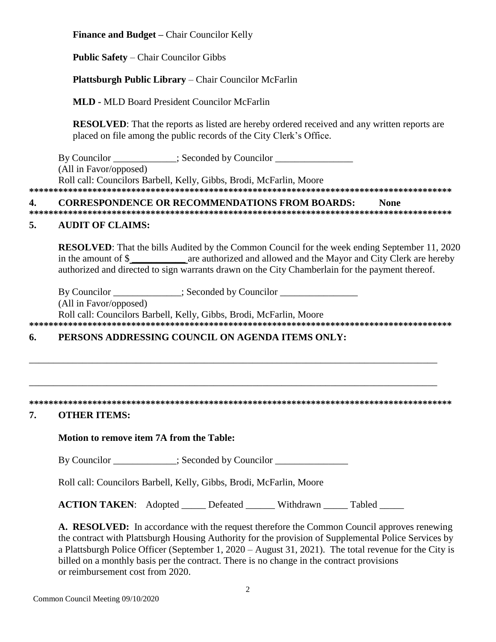**Finance and Budget –** Chair Councilor Kelly **Public Safety** – Chair Councilor Gibbs **Plattsburgh Public Library** – Chair Councilor McFarlin **MLD -** MLD Board President Councilor McFarlin **RESOLVED**: That the reports as listed are hereby ordered received and any written reports are placed on file among the public records of the City Clerk's Office. By Councilor \_\_\_\_\_\_\_\_\_\_\_; Seconded by Councilor \_\_\_\_\_\_\_\_\_\_\_\_\_\_\_\_\_\_\_\_\_\_\_\_\_\_\_\_\_\_\_\_ (All in Favor/opposed) Roll call: Councilors Barbell, Kelly, Gibbs, Brodi, McFarlin, Moore **\*\*\*\*\*\*\*\*\*\*\*\*\*\*\*\*\*\*\*\*\*\*\*\*\*\*\*\*\*\*\*\*\*\*\*\*\*\*\*\*\*\*\*\*\*\*\*\*\*\*\*\*\*\*\*\*\*\*\*\*\*\*\*\*\*\*\*\*\*\*\*\*\*\*\*\*\*\*\*\*\*\*\*\*\*\*\* 4. CORRESPONDENCE OR RECOMMENDATIONS FROM BOARDS: None \*\*\*\*\*\*\*\*\*\*\*\*\*\*\*\*\*\*\*\*\*\*\*\*\*\*\*\*\*\*\*\*\*\*\*\*\*\*\*\*\*\*\*\*\*\*\*\*\*\*\*\*\*\*\*\*\*\*\*\*\*\*\*\*\*\*\*\*\*\*\*\*\*\*\*\*\*\*\*\*\*\*\*\*\*\*\* 5. AUDIT OF CLAIMS: RESOLVED:** That the bills Audited by the Common Council for the week ending September 11, 2020 in the amount of \$ **\_\_\_\_\_\_\_\_\_\_\_** are authorized and allowed and the Mayor and City Clerk are hereby authorized and directed to sign warrants drawn on the City Chamberlain for the payment thereof. By Councilor \_\_\_\_\_\_\_\_\_\_\_\_; Seconded by Councilor \_\_\_\_\_\_\_\_\_\_\_\_\_\_\_\_\_\_\_\_\_\_\_\_\_\_\_\_\_\_\_ (All in Favor/opposed) Roll call: Councilors Barbell, Kelly, Gibbs, Brodi, McFarlin, Moore **\*\*\*\*\*\*\*\*\*\*\*\*\*\*\*\*\*\*\*\*\*\*\*\*\*\*\*\*\*\*\*\*\*\*\*\*\*\*\*\*\*\*\*\*\*\*\*\*\*\*\*\*\*\*\*\*\*\*\*\*\*\*\*\*\*\*\*\*\*\*\*\*\*\*\*\*\*\*\*\*\*\*\*\*\*\*\* 6. PERSONS ADDRESSING COUNCIL ON AGENDA ITEMS ONLY:**  \_\_\_\_\_\_\_\_\_\_\_\_\_\_\_\_\_\_\_\_\_\_\_\_\_\_\_\_\_\_\_\_\_\_\_\_\_\_\_\_\_\_\_\_\_\_\_\_\_\_\_\_\_\_\_\_\_\_\_\_\_\_\_\_\_\_\_\_\_\_\_\_\_\_\_\_\_\_\_\_\_\_\_\_ \_\_\_\_\_\_\_\_\_\_\_\_\_\_\_\_\_\_\_\_\_\_\_\_\_\_\_\_\_\_\_\_\_\_\_\_\_\_\_\_\_\_\_\_\_\_\_\_\_\_\_\_\_\_\_\_\_\_\_\_\_\_\_\_\_\_\_\_\_\_\_\_\_\_\_\_\_\_\_\_\_\_\_\_ **\*\*\*\*\*\*\*\*\*\*\*\*\*\*\*\*\*\*\*\*\*\*\*\*\*\*\*\*\*\*\*\*\*\*\*\*\*\*\*\*\*\*\*\*\*\*\*\*\*\*\*\*\*\*\*\*\*\*\*\*\*\*\*\*\*\*\*\*\*\*\*\*\*\*\*\*\*\*\*\*\*\*\*\*\*\*\* 7. OTHER ITEMS: Motion to remove item 7A from the Table:** By Councilor  $\qquad \qquad :$  Seconded by Councilor Roll call: Councilors Barbell, Kelly, Gibbs, Brodi, McFarlin, Moore **ACTION TAKEN:** Adopted Defeated Withdrawn Tabled

**A. RESOLVED:** In accordance with the request therefore the Common Council approves renewing the contract with Plattsburgh Housing Authority for the provision of Supplemental Police Services by a Plattsburgh Police Officer (September 1, 2020 – August 31, 2021). The total revenue for the City is billed on a monthly basis per the contract. There is no change in the contract provisions or reimbursement cost from 2020.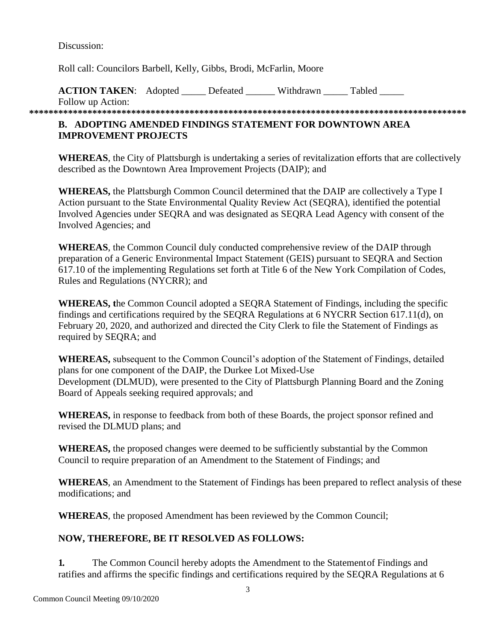Discussion:

Roll call: Councilors Barbell, Kelly, Gibbs, Brodi, McFarlin, Moore

**ACTION TAKEN:** Adopted Defeated Withdrawn Tabled Follow up Action:

**\*\*\*\*\*\*\*\*\*\*\*\*\*\*\*\*\*\*\*\*\*\*\*\*\*\*\*\*\*\*\*\*\*\*\*\*\*\*\*\*\*\*\*\*\*\*\*\*\*\*\*\*\*\*\*\*\*\*\*\*\*\*\*\*\*\*\*\*\*\*\*\*\*\*\*\*\*\*\*\*\*\*\*\*\*\*\*\*\*\***

# **B. ADOPTING AMENDED FINDINGS STATEMENT FOR DOWNTOWN AREA IMPROVEMENT PROJECTS**

**WHEREAS**, the City of Plattsburgh is undertaking a series of revitalization efforts that are collectively described as the Downtown Area Improvement Projects (DAIP); and

**WHEREAS,** the Plattsburgh Common Council determined that the DAIP are collectively a Type I Action pursuant to the State Environmental Quality Review Act (SEQRA), identified the potential Involved Agencies under SEQRA and was designated as SEQRA Lead Agency with consent of the Involved Agencies; and

**WHEREAS**, the Common Council duly conducted comprehensive review of the DAIP through preparation of a Generic Environmental Impact Statement (GEIS) pursuant to SEQRA and Section 617.10 of the implementing Regulations set forth at Title 6 of the New York Compilation of Codes, Rules and Regulations (NYCRR); and

**WHEREAS, t**he Common Council adopted a SEQRA Statement of Findings, including the specific findings and certifications required by the SEQRA Regulations at 6 NYCRR Section 617.11(d), on February 20, 2020, and authorized and directed the City Clerk to file the Statement of Findings as required by SEQRA; and

**WHEREAS,** subsequent to the Common Council's adoption of the Statement of Findings, detailed plans for one component of the DAIP, the Durkee Lot Mixed-Use Development (DLMUD), were presented to the City of Plattsburgh Planning Board and the Zoning Board of Appeals seeking required approvals; and

**WHEREAS,** in response to feedback from both of these Boards, the project sponsor refined and revised the DLMUD plans; and

WHEREAS, the proposed changes were deemed to be sufficiently substantial by the Common Council to require preparation of an Amendment to the Statement of Findings; and

**WHEREAS**, an Amendment to the Statement of Findings has been prepared to reflect analysis of these modifications; and

**WHEREAS**, the proposed Amendment has been reviewed by the Common Council;

# **NOW, THEREFORE, BE IT RESOLVED AS FOLLOWS:**

**1.** The Common Council hereby adopts the Amendment to the Statementof Findings and ratifies and affirms the specific findings and certifications required by the SEQRA Regulations at 6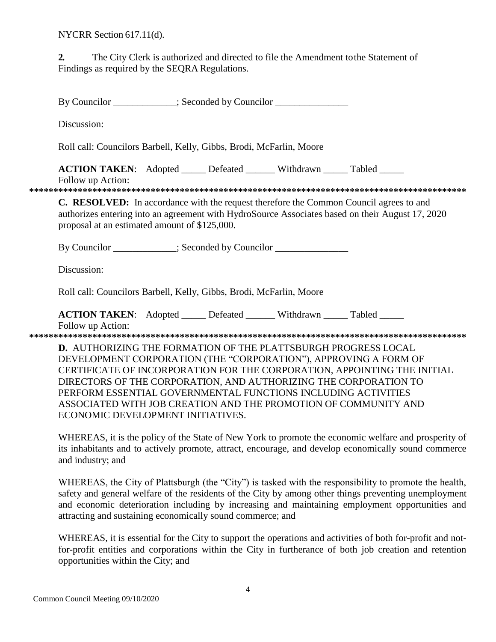NYCRR Section 617.11(d).

The City Clerk is authorized and directed to file the Amendment to the Statement of  $2.$ Findings as required by the SEORA Regulations.

By Councilor : Seconded by Councilor

Discussion:

Roll call: Councilors Barbell, Kelly, Gibbs, Brodi, McFarlin, Moore

**ACTION TAKEN:** Adopted Defeated Withdrawn Tabled Follow up Action:

C. RESOLVED: In accordance with the request therefore the Common Council agrees to and authorizes entering into an agreement with HydroSource Associates based on their August 17, 2020 proposal at an estimated amount of \$125,000.

By Councilor : Seconded by Councilor

Discussion:

Roll call: Councilors Barbell, Kelly, Gibbs, Brodi, McFarlin, Moore

**ACTION TAKEN:** Adopted Defeated Withdrawn Tabled

Follow up Action:

**D.** AUTHORIZING THE FORMATION OF THE PLATTSBURGH PROGRESS LOCAL DEVELOPMENT CORPORATION (THE "CORPORATION"), APPROVING A FORM OF CERTIFICATE OF INCORPORATION FOR THE CORPORATION, APPOINTING THE INITIAL DIRECTORS OF THE CORPORATION, AND AUTHORIZING THE CORPORATION TO PERFORM ESSENTIAL GOVERNMENTAL FUNCTIONS INCLUDING ACTIVITIES ASSOCIATED WITH JOB CREATION AND THE PROMOTION OF COMMUNITY AND ECONOMIC DEVELOPMENT INITIATIVES.

WHEREAS, it is the policy of the State of New York to promote the economic welfare and prosperity of its inhabitants and to actively promote, attract, encourage, and develop economically sound commerce and industry; and

WHEREAS, the City of Plattsburgh (the "City") is tasked with the responsibility to promote the health, safety and general welfare of the residents of the City by among other things preventing unemployment and economic deterioration including by increasing and maintaining employment opportunities and attracting and sustaining economically sound commerce; and

WHEREAS, it is essential for the City to support the operations and activities of both for-profit and notfor-profit entities and corporations within the City in furtherance of both job creation and retention opportunities within the City; and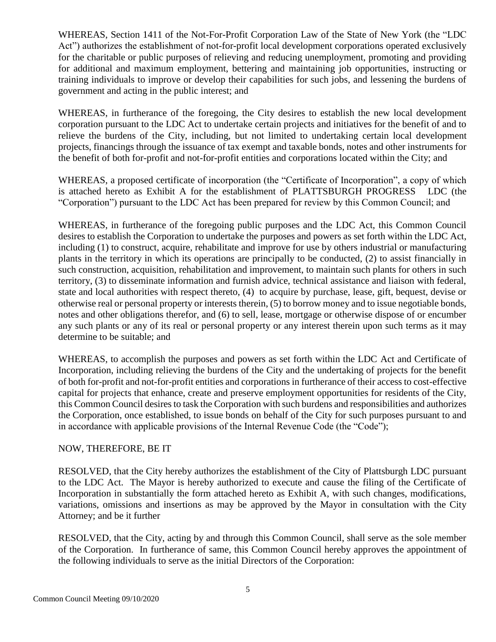WHEREAS, Section 1411 of the Not-For-Profit Corporation Law of the State of New York (the "LDC Act") authorizes the establishment of not-for-profit local development corporations operated exclusively for the charitable or public purposes of relieving and reducing unemployment, promoting and providing for additional and maximum employment, bettering and maintaining job opportunities, instructing or training individuals to improve or develop their capabilities for such jobs, and lessening the burdens of government and acting in the public interest; and

WHEREAS, in furtherance of the foregoing, the City desires to establish the new local development corporation pursuant to the LDC Act to undertake certain projects and initiatives for the benefit of and to relieve the burdens of the City, including, but not limited to undertaking certain local development projects, financings through the issuance of tax exempt and taxable bonds, notes and other instruments for the benefit of both for-profit and not-for-profit entities and corporations located within the City; and

WHEREAS, a proposed certificate of incorporation (the "Certificate of Incorporation", a copy of which is attached hereto as Exhibit A for the establishment of PLATTSBURGH PROGRESS LDC (the "Corporation") pursuant to the LDC Act has been prepared for review by this Common Council; and

WHEREAS, in furtherance of the foregoing public purposes and the LDC Act, this Common Council desires to establish the Corporation to undertake the purposes and powers as set forth within the LDC Act, including (1) to construct, acquire, rehabilitate and improve for use by others industrial or manufacturing plants in the territory in which its operations are principally to be conducted, (2) to assist financially in such construction, acquisition, rehabilitation and improvement, to maintain such plants for others in such territory, (3) to disseminate information and furnish advice, technical assistance and liaison with federal, state and local authorities with respect thereto, (4) to acquire by purchase, lease, gift, bequest, devise or otherwise real or personal property or interests therein, (5) to borrow money and to issue negotiable bonds, notes and other obligations therefor, and (6) to sell, lease, mortgage or otherwise dispose of or encumber any such plants or any of its real or personal property or any interest therein upon such terms as it may determine to be suitable; and

WHEREAS, to accomplish the purposes and powers as set forth within the LDC Act and Certificate of Incorporation, including relieving the burdens of the City and the undertaking of projects for the benefit of both for-profit and not-for-profit entities and corporations in furtherance of their access to cost-effective capital for projects that enhance, create and preserve employment opportunities for residents of the City, this Common Council desires to task the Corporation with such burdens and responsibilities and authorizes the Corporation, once established, to issue bonds on behalf of the City for such purposes pursuant to and in accordance with applicable provisions of the Internal Revenue Code (the "Code");

### NOW, THEREFORE, BE IT

RESOLVED, that the City hereby authorizes the establishment of the City of Plattsburgh LDC pursuant to the LDC Act. The Mayor is hereby authorized to execute and cause the filing of the Certificate of Incorporation in substantially the form attached hereto as Exhibit A, with such changes, modifications, variations, omissions and insertions as may be approved by the Mayor in consultation with the City Attorney; and be it further

RESOLVED, that the City, acting by and through this Common Council, shall serve as the sole member of the Corporation. In furtherance of same, this Common Council hereby approves the appointment of the following individuals to serve as the initial Directors of the Corporation: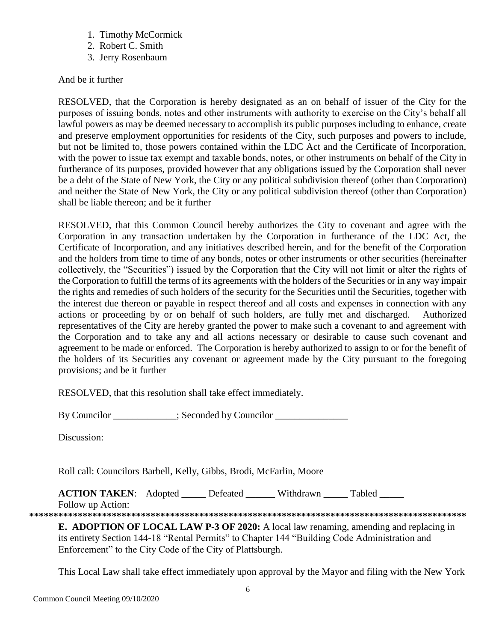- 1. Timothy McCormick
- 2. Robert C. Smith
- 3. Jerry Rosenbaum

# And be it further

RESOLVED, that the Corporation is hereby designated as an on behalf of issuer of the City for the purposes of issuing bonds, notes and other instruments with authority to exercise on the City's behalf all lawful powers as may be deemed necessary to accomplish its public purposes including to enhance, create and preserve employment opportunities for residents of the City, such purposes and powers to include, but not be limited to, those powers contained within the LDC Act and the Certificate of Incorporation, with the power to issue tax exempt and taxable bonds, notes, or other instruments on behalf of the City in furtherance of its purposes, provided however that any obligations issued by the Corporation shall never be a debt of the State of New York, the City or any political subdivision thereof (other than Corporation) and neither the State of New York, the City or any political subdivision thereof (other than Corporation) shall be liable thereon; and be it further

RESOLVED, that this Common Council hereby authorizes the City to covenant and agree with the Corporation in any transaction undertaken by the Corporation in furtherance of the LDC Act, the Certificate of Incorporation, and any initiatives described herein, and for the benefit of the Corporation and the holders from time to time of any bonds, notes or other instruments or other securities (hereinafter collectively, the "Securities") issued by the Corporation that the City will not limit or alter the rights of the Corporation to fulfill the terms of its agreements with the holders of the Securities or in any way impair the rights and remedies of such holders of the security for the Securities until the Securities, together with the interest due thereon or payable in respect thereof and all costs and expenses in connection with any actions or proceeding by or on behalf of such holders, are fully met and discharged. Authorized representatives of the City are hereby granted the power to make such a covenant to and agreement with the Corporation and to take any and all actions necessary or desirable to cause such covenant and agreement to be made or enforced. The Corporation is hereby authorized to assign to or for the benefit of the holders of its Securities any covenant or agreement made by the City pursuant to the foregoing provisions; and be it further

RESOLVED, that this resolution shall take effect immediately.

By Councilor \_\_\_\_\_\_\_\_\_\_; Seconded by Councilor \_\_\_\_\_\_\_\_\_\_\_\_\_\_\_\_\_\_\_\_\_\_\_\_\_\_\_\_\_\_\_\_\_

Discussion:

Roll call: Councilors Barbell, Kelly, Gibbs, Brodi, McFarlin, Moore

**ACTION TAKEN:** Adopted \_\_\_\_\_ Defeated \_\_\_\_\_\_ Withdrawn \_\_\_\_\_ Tabled \_\_\_\_\_

Follow up Action: **\*\*\*\*\*\*\*\*\*\*\*\*\*\*\*\*\*\*\*\*\*\*\*\*\*\*\*\*\*\*\*\*\*\*\*\*\*\*\*\*\*\*\*\*\*\*\*\*\*\*\*\*\*\*\*\*\*\*\*\*\*\*\*\*\*\*\*\*\*\*\*\*\*\*\*\*\*\*\*\*\*\*\*\*\*\*\*\*\*\***

**E. ADOPTION OF LOCAL LAW P-3 OF 2020:** A local law renaming, amending and replacing in its entirety Section 144-18 "Rental Permits" to Chapter 144 "Building Code Administration and Enforcement" to the City Code of the City of Plattsburgh.

This Local Law shall take effect immediately upon approval by the Mayor and filing with the New York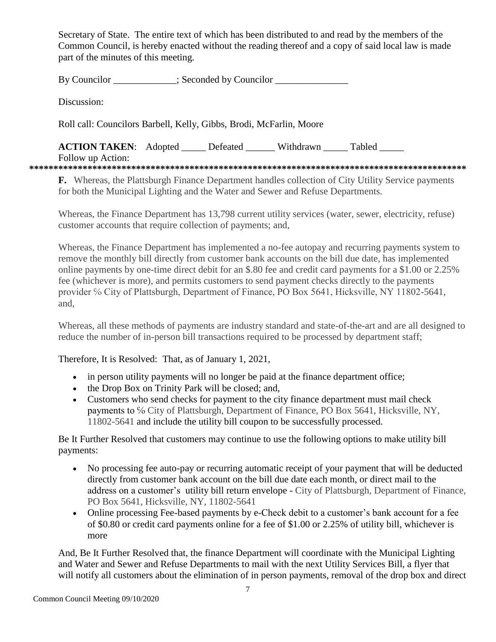Secretary of State. The entire text of which has been distributed to and read by the members of the Common Council, is hereby enacted without the reading thereof and a copy of said local law is made part of the minutes of this meeting.

By Councilor \_\_\_\_\_\_\_\_\_\_\_; Seconded by Councilor \_\_\_\_\_\_\_\_\_\_\_\_\_\_\_\_\_\_\_\_\_\_\_\_\_\_\_\_\_\_\_\_

Discussion:

Roll call: Councilors Barbell, Kelly, Gibbs, Brodi, McFarlin, Moore

**ACTION TAKEN:** Adopted Defeated Withdrawn Tabled

Follow up Action:

**\*\*\*\*\*\*\*\*\*\*\*\*\*\*\*\*\*\*\*\*\*\*\*\*\*\*\*\*\*\*\*\*\*\*\*\*\*\*\*\*\*\*\*\*\*\*\*\*\*\*\*\*\*\*\*\*\*\*\*\*\*\*\*\*\*\*\*\*\*\*\*\*\*\*\*\*\*\*\*\*\*\*\*\*\*\*\*\*\*\***

**F.** Whereas, the Plattsburgh Finance Department handles collection of City Utility Service payments for both the Municipal Lighting and the Water and Sewer and Refuse Departments.

Whereas, the Finance Department has 13,798 current utility services (water, sewer, electricity, refuse) customer accounts that require collection of payments; and,

Whereas, the Finance Department has implemented a no-fee autopay and recurring payments system to remove the monthly bill directly from customer bank accounts on the bill due date, has implemented online payments by one-time direct debit for an \$.80 fee and credit card payments for a \$1.00 or 2.25% fee (whichever is more), and permits customers to send payment checks directly to the payments provider % City of Plattsburgh, Department of Finance, PO Box 5641, Hicksville, NY 11802-5641, and,

Whereas, all these methods of payments are industry standard and state-of-the-art and are all designed to reduce the number of in-person bill transactions required to be processed by department staff;

Therefore, It is Resolved: That, as of January 1, 2021,

- in person utility payments will no longer be paid at the finance department office;
- the Drop Box on Trinity Park will be closed; and,
- Customers who send checks for payment to the city finance department must mail check payments to % City of Plattsburgh, Department of Finance, PO Box 5641, Hicksville, NY, 11802-5641 and include the utility bill coupon to be successfully processed.

Be It Further Resolved that customers may continue to use the following options to make utility bill payments:

- No processing fee auto-pay or recurring automatic receipt of your payment that will be deducted directly from customer bank account on the bill due date each month, or direct mail to the address on a customer's utility bill return envelope - City of Plattsburgh, Department of Finance, PO Box 5641, Hicksville, NY, 11802-5641
- Online processing Fee-based payments by e-Check debit to a customer's bank account for a fee of \$0.80 or credit card payments online for a fee of \$1.00 or 2.25% of utility bill, whichever is more

And, Be It Further Resolved that, the finance Department will coordinate with the Municipal Lighting and Water and Sewer and Refuse Departments to mail with the next Utility Services Bill, a flyer that will notify all customers about the elimination of in person payments, removal of the drop box and direct